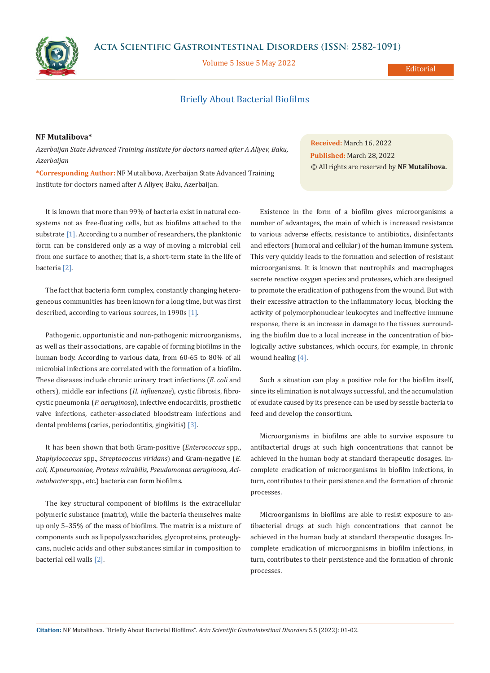**Acta Scientific Gastrointestinal Disorders (ISSN: 2582-1091)**

Volume 5 Issue 5 May 2022

### **Editorial**

# Briefly About Bacterial Biofilms

# **NF Mutalibova\***

*Azerbaijan State Advanced Training Institute for doctors named after A Aliyev, Baku, Azerbaijan*

**\*Corresponding Author:** NF Mutalibova, Azerbaijan State Advanced Training Institute for doctors named after A Aliyev, Baku, Azerbaijan.

It is known that more than 99% of bacteria exist in natural ecosystems not as free-floating cells, but as biofilms attached to the substrate [1]. According to a number of researchers, the planktonic form can be considered only as a way of moving a microbial cell from one surface to another, that is, a short-term state in the life of bacteria [2].

The fact that bacteria form complex, constantly changing heterogeneous communities has been known for a long time, but was first described, according to various sources, in 1990s [1].

Pathogenic, opportunistic and non-pathogenic microorganisms, as well as their associations, are capable of forming biofilms in the human body. According to various data, from 60-65 to 80% of all microbial infections are correlated with the formation of a biofilm. These diseases include chronic urinary tract infections (*E. coli* and others), middle ear infections (*H. influenzae*), cystic fibrosis, fibrocystic pneumonia (*P. aeruginosa*), infective endocarditis, prosthetic valve infections, catheter-associated bloodstream infections and dental problems (caries, periodontitis, gingivitis) [3].

It has been shown that both Gram-positive (*Enterococcus* spp., *Staphylococcus* spp., *Streptococcus viridans*) and Gram-negative (*E. coli*, *K.pneumoniae, Proteus mirabilis, Pseudomonas aeruginosa, Acinetobacter* spp., etc.) bacteria can form biofilms.

The key structural component of biofilms is the extracellular polymeric substance (matrix), while the bacteria themselves make up only 5–35% of the mass of biofilms. The matrix is a mixture of components such as lipopolysaccharides, glycoproteins, proteoglycans, nucleic acids and other substances similar in composition to bacterial cell walls [2].

**Received:** March 16, 2022 **Published:** March 28, 2022 © All rights are reserved by **NF Mutalibova.**

Existence in the form of a biofilm gives microorganisms a number of advantages, the main of which is increased resistance to various adverse effects, resistance to antibiotics, disinfectants and effectors (humoral and cellular) of the human immune system. This very quickly leads to the formation and selection of resistant microorganisms. It is known that neutrophils and macrophages secrete reactive oxygen species and proteases, which are designed to promote the eradication of pathogens from the wound. But with their excessive attraction to the inflammatory locus, blocking the activity of polymorphonuclear leukocytes and ineffective immune response, there is an increase in damage to the tissues surrounding the biofilm due to a local increase in the concentration of biologically active substances, which occurs, for example, in chronic wound healing [4].

Such a situation can play a positive role for the biofilm itself, since its elimination is not always successful, and the accumulation of exudate caused by its presence can be used by sessile bacteria to feed and develop the consortium.

Microorganisms in biofilms are able to survive exposure to antibacterial drugs at such high concentrations that cannot be achieved in the human body at standard therapeutic dosages. Incomplete eradication of microorganisms in biofilm infections, in turn, contributes to their persistence and the formation of chronic processes.

Microorganisms in biofilms are able to resist exposure to antibacterial drugs at such high concentrations that cannot be achieved in the human body at standard therapeutic dosages. Incomplete eradication of microorganisms in biofilm infections, in turn, contributes to their persistence and the formation of chronic processes.